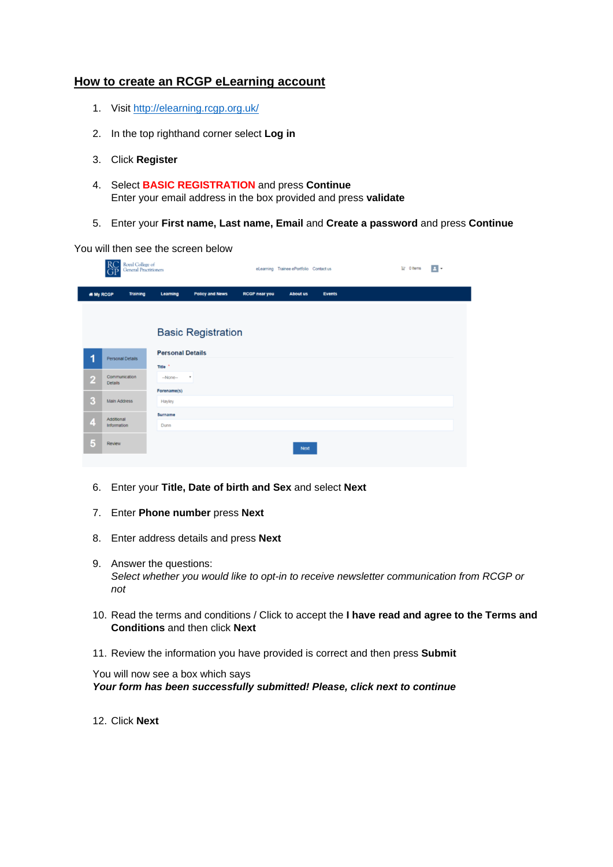## **How to create an RCGP eLearning account**

- 1. Visit<http://elearning.rcgp.org.uk/>
- 2. In the top righthand corner select **Log in**
- 3. Click **Register**
- 4. Select **BASIC REGISTRATION** and press **Continue** Enter your email address in the box provided and press **validate**
- 5. Enter your **First name, Last name, Email** and **Create a password** and press **Continue**

You will then see the screen below

|                         | Royal College of<br>General Practitioners |                                               |                           |                      | eLearning Trainee ePortfolio Contact us |               |  | $\mathbf{F}$ 0 Items | $\blacksquare$ |  |  |
|-------------------------|-------------------------------------------|-----------------------------------------------|---------------------------|----------------------|-----------------------------------------|---------------|--|----------------------|----------------|--|--|
| <b># My RCGP</b>        | <b>Training</b>                           | Learning                                      | <b>Policy and News</b>    | <b>RCGP near you</b> | <b>About us</b>                         | <b>Events</b> |  |                      |                |  |  |
|                         |                                           |                                               | <b>Basic Registration</b> |                      |                                         |               |  |                      |                |  |  |
| 1                       | <b>Personal Details</b>                   | <b>Personal Details</b><br>Title <sup>*</sup> |                           |                      |                                         |               |  |                      |                |  |  |
| $\overline{2}$          | Communication<br><b>Details</b>           | $-None-$                                      | $\overline{\phantom{a}}$  |                      |                                         |               |  |                      |                |  |  |
| $\overline{\mathbf{3}}$ | <b>Main Address</b>                       | Forename(s)<br>Hayley                         |                           |                      |                                         |               |  |                      |                |  |  |
| $\overline{\mathbf{4}}$ | Additional<br>Information                 | Surname<br>Dunn                               |                           |                      |                                         |               |  |                      |                |  |  |
| $\overline{5}$          | Review                                    |                                               |                           |                      | <b>Next</b>                             |               |  |                      |                |  |  |

- 6. Enter your **Title, Date of birth and Sex** and select **Next**
- 7. Enter **Phone number** press **Next**
- 8. Enter address details and press **Next**
- 9. Answer the questions: *Select whether you would like to opt-in to receive newsletter communication from RCGP or not*
- 10. Read the terms and conditions / Click to accept the **I have read and agree to the Terms and Conditions** and then click **Next**
- 11. Review the information you have provided is correct and then press **Submit**

You will now see a box which says *Your form has been successfully submitted! Please, click next to continue*

12. Click **Next**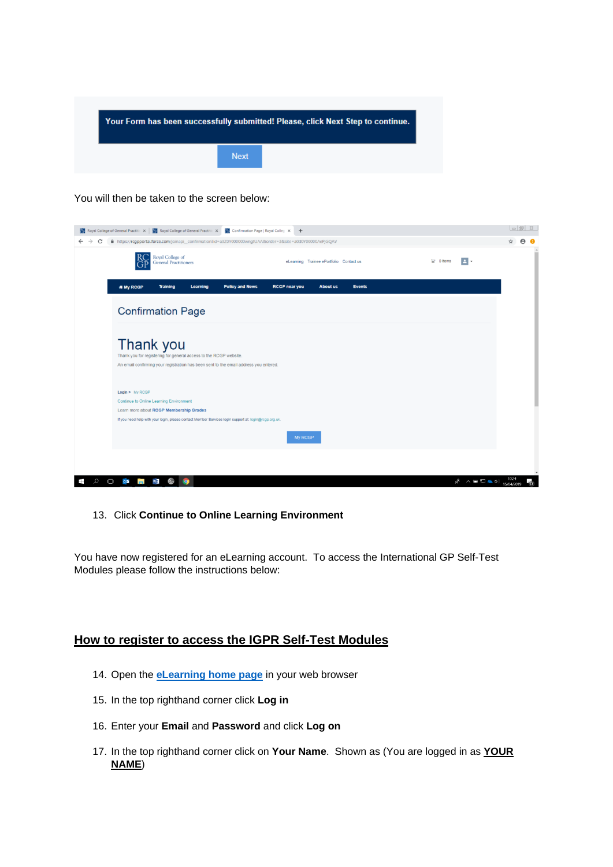

You will then be taken to the screen below:

| Report Served College of General Practitic $x$   Report College of General Practitic $x$   Report Confirmation Page   Royal Colleg $x$ |                                                                                                                                                                         |                 |           |                        |                      |                 |               |  | $\Box$                                                                   |  |
|----------------------------------------------------------------------------------------------------------------------------------------|-------------------------------------------------------------------------------------------------------------------------------------------------------------------------|-----------------|-----------|------------------------|----------------------|-----------------|---------------|--|--------------------------------------------------------------------------|--|
| C<br>$\rightarrow$<br>$\leftarrow$                                                                                                     | A https://rcgpportal.force.com/joinapi_confirmation?id=a3Z0Y000000wngtUAAℴ=3&site=a0d0Y00000AePjGQAV                                                                    |                 |           |                        |                      |                 |               |  |                                                                          |  |
|                                                                                                                                        | Royal College of<br>eLearning Trainee ePortfolio Contact us<br><b>General Practitioners</b>                                                                             |                 |           |                        |                      |                 |               |  | E -                                                                      |  |
|                                                                                                                                        | # My RCGP                                                                                                                                                               | <b>Training</b> | Learning  | <b>Policy and News</b> | <b>RCGP near you</b> | <b>About us</b> | <b>Events</b> |  |                                                                          |  |
|                                                                                                                                        | <b>Confirmation Page</b>                                                                                                                                                |                 |           |                        |                      |                 |               |  |                                                                          |  |
|                                                                                                                                        | Thank you<br>Thank you for registering for general access to the RCGP website.<br>An email confirming your registration has been sent to the email address you entered. |                 |           |                        |                      |                 |               |  |                                                                          |  |
|                                                                                                                                        | Login > My RCGP<br><b>Continue to Online Learning Environment</b>                                                                                                       |                 |           |                        |                      |                 |               |  |                                                                          |  |
|                                                                                                                                        | Learn more about RCGP Membership Grades<br>If you need help with your login, please contact Member Services login support at: login@rcgp.org.uk.                        |                 |           |                        |                      |                 |               |  |                                                                          |  |
|                                                                                                                                        |                                                                                                                                                                         |                 |           |                        | My RCGP              |                 |               |  |                                                                          |  |
|                                                                                                                                        |                                                                                                                                                                         |                 |           |                        |                      |                 |               |  |                                                                          |  |
| $\Box$                                                                                                                                 | $0\overline{2}$<br><b>Contract</b>                                                                                                                                      | w<br>۞          | $\bullet$ |                        |                      |                 |               |  | 10:24<br>$R^2 \wedge \blacksquare \square \triangleq \Phi$<br>15/04/2019 |  |

## 13. Click **Continue to Online Learning Environment**

You have now registered for an eLearning account. To access the International GP Self-Test Modules please follow the instructions below:

## **How to register to access the IGPR Self-Test Modules**

- 14. Open the **eLearning [home page](http://elearning.rcgp.org.uk/)** in your web browser
- 15. In the top righthand corner click **Log in**
- 16. Enter your **Email** and **Password** and click **Log on**
- 17. In the top righthand corner click on **Your Name**. Shown as (You are logged in as **YOUR NAME**)